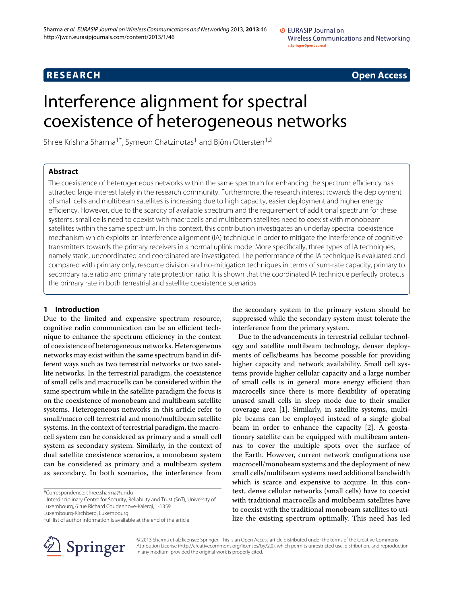**RESEARCH Open Access**

# Interference alignment for spectral coexistence of heterogeneous networks

Shree Krishna Sharma<sup>1\*</sup>, Symeon Chatzinotas<sup>1</sup> and Björn Ottersten<sup>1,2</sup>

# **Abstract**

The coexistence of heterogeneous networks within the same spectrum for enhancing the spectrum efficiency has attracted large interest lately in the research community. Furthermore, the research interest towards the deployment of small cells and multibeam satellites is increasing due to high capacity, easier deployment and higher energy efficiency. However, due to the scarcity of available spectrum and the requirement of additional spectrum for these systems, small cells need to coexist with macrocells and multibeam satellites need to coexist with monobeam satellites within the same spectrum. In this context, this contribution investigates an underlay spectral coexistence mechanism which exploits an interference alignment (IA) technique in order to mitigate the interference of cognitive transmitters towards the primary receivers in a normal uplink mode. More specifically, three types of IA techniques, namely static, uncoordinated and coordinated are investigated. The performance of the IA technique is evaluated and compared with primary only, resource division and no-mitigation techniques in terms of sum-rate capacity, primary to secondary rate ratio and primary rate protection ratio. It is shown that the coordinated IA technique perfectly protects the primary rate in both terrestrial and satellite coexistence scenarios.

# **1 Introduction**

Due to the limited and expensive spectrum resource, cognitive radio communication can be an efficient technique to enhance the spectrum efficiency in the context of coexistence of heterogeneous networks. Heterogeneous networks may exist within the same spectrum band in different ways such as two terrestrial networks or two satellite networks. In the terrestrial paradigm, the coexistence of small cells and macrocells can be considered within the same spectrum while in the satellite paradigm the focus is on the coexistence of monobeam and multibeam satellite systems. Heterogeneous networks in this article refer to small/macro cell terrestrial and mono/multibeam satellite systems. In the context of terrestrial paradigm, the macrocell system can be considered as primary and a small cell system as secondary system. Similarly, in the context of dual satellite coexistence scenarios, a monobeam system can be considered as primary and a multibeam system as secondary. In both scenarios, the interference from

\*Correspondence: shree.sharma@uni.lu

1Interdisciplinary Centre for Security, Reliability and Trust (SnT), University of Luxembourg, 6 rue Richard Coudenhove-Kalergi, L-1359

Luxembourg-Kirchberg, Luxembourg



Due to the advancements in terrestrial cellular technology and satellite multibeam technology, denser deployments of cells/beams has become possible for providing higher capacity and network availability. Small cell systems provide higher cellular capacity and a large number of small cells is in general more energy efficient than macrocells since there is more flexibility of operating unused small cells in sleep mode due to their smaller coverage area [1]. Similarly, in satellite systems, multiple beams can be employed instead of a single global beam in order to enhance the capacity [2]. A geostationary satellite can be equipped with multibeam antennas to cover the multiple spots over the surface of the Earth. However, current network configurations use macrocell/monobeam systems and the deployment of new small cells/multibeam systems need additional bandwidth which is scarce and expensive to acquire. In this context, dense cellular networks (small cells) have to coexist with traditional macrocells and multibeam satellites have to coexist with the traditional monobeam satellites to utilize the existing spectrum optimally. This need has led



© 2013 Sharma et al.; licensee Springer. This is an Open Access article distributed under the terms of the Creative Commons Attribution License (http://creativecommons.org/licenses/by/2.0), which permits unrestricted use, distribution, and reproduction in any medium, provided the original work is properly cited.

Full list of author information is available at the end of the article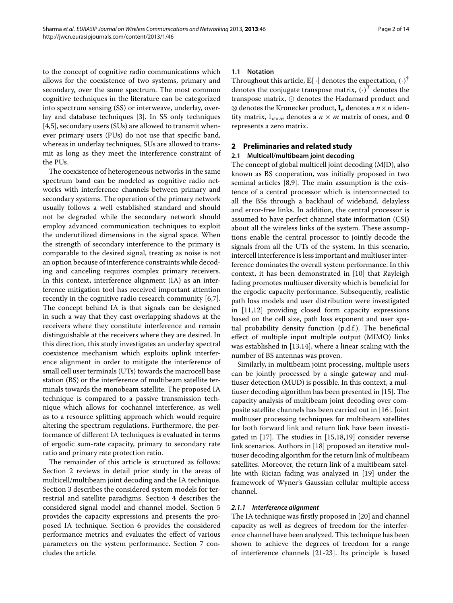to the concept of cognitive radio communications which allows for the coexistence of two systems, primary and secondary, over the same spectrum. The most common cognitive techniques in the literature can be categorized into spectrum sensing (SS) or interweave, underlay, overlay and database techniques [3]. In SS only techniques [4,5], secondary users (SUs) are allowed to transmit whenever primary users (PUs) do not use that specific band, whereas in underlay techniques, SUs are allowed to transmit as long as they meet the interference constraint of the PUs.

The coexistence of heterogeneous networks in the same spectrum band can be modeled as cognitive radio networks with interference channels between primary and secondary systems. The operation of the primary network usually follows a well established standard and should not be degraded while the secondary network should employ advanced communication techniques to exploit the underutilized dimensions in the signal space. When the strength of secondary interference to the primary is comparable to the desired signal, treating as noise is not an option because of interference constraints while decoding and canceling requires complex primary receivers. In this context, interference alignment (IA) as an interference mitigation tool has received important attention recently in the cognitive radio research community [6,7]. The concept behind IA is that signals can be designed in such a way that they cast overlapping shadows at the receivers where they constitute interference and remain distinguishable at the receivers where they are desired. In this direction, this study investigates an underlay spectral coexistence mechanism which exploits uplink interference alignment in order to mitigate the interference of small cell user terminals (UTs) towards the macrocell base station (BS) or the interference of multibeam satellite terminals towards the monobeam satellite. The proposed IA technique is compared to a passive transmission technique which allows for cochannel interference, as well as to a resource splitting approach which would require altering the spectrum regulations. Furthermore, the performance of different IA techniques is evaluated in terms of ergodic sum-rate capacity, primary to secondary rate ratio and primary rate protection ratio.

The remainder of this article is structured as follows: Section 2 reviews in detail prior study in the areas of multicell/multibeam joint decoding and the IA technique. Section 3 describes the considered system models for terrestrial and satellite paradigms. Section 4 describes the considered signal model and channel model. Section 5 provides the capacity expressions and presents the proposed IA technique. Section 6 provides the considered performance metrics and evaluates the effect of various parameters on the system performance. Section 7 concludes the article.

### **1.1 Notation**

Throughout this article,  $\mathbb{E}[\cdot]$  denotes the expectation,  $(\cdot)^{\dagger}$ denotes the conjugate transpose matrix,  $(\cdot)^T$  denotes the transpose matrix,  $\odot$  denotes the Hadamard product and  $\otimes$  denotes the Kronecker product,  $I_n$  denotes a  $n \times n$  identity matrix,  $\mathbb{I}_{n \times m}$  denotes a  $n \times m$  matrix of ones, and **0** represents a zero matrix.

# **2 Preliminaries and related study**

#### **2.1 Multicell/multibeam joint decoding**

The concept of global multicell joint decoding (MJD), also known as BS cooperation, was initially proposed in two seminal articles [8,9]. The main assumption is the existence of a central processor which is interconnected to all the BSs through a backhaul of wideband, delayless and error-free links. In addition, the central processor is assumed to have perfect channel state information (CSI) about all the wireless links of the system. These assumptions enable the central processor to jointly decode the signals from all the UTs of the system. In this scenario, intercell interference is less important and multiuser interference dominates the overall system performance. In this context, it has been demonstrated in [10] that Rayleigh fading promotes multiuser diversity which is beneficial for the ergodic capacity performance. Subsequently, realistic path loss models and user distribution were investigated in [11,12] providing closed form capacity expressions based on the cell size, path loss exponent and user spatial probability density function (p.d.f.). The beneficial effect of multiple input multiple output (MIMO) links was established in [13,14], where a linear scaling with the number of BS antennas was proven.

Similarly, in multibeam joint processing, multiple users can be jointly processed by a single gateway and multiuser detection (MUD) is possible. In this context, a multiuser decoding algorithm has been presented in [15]. The capacity analysis of multibeam joint decoding over composite satellite channels has been carried out in [16]. Joint multiuser processing techniques for multibeam satellites for both forward link and return link have been investigated in [17]. The studies in [15,18,19] consider reverse link scenarios. Authors in [18] proposed an iterative multiuser decoding algorithm for the return link of multibeam satellites. Moreover, the return link of a multibeam satellite with Rician fading was analyzed in [19] under the framework of Wyner's Gaussian cellular multiple access channel.

# *2.1.1 Interference alignment*

The IA technique was firstly proposed in [20] and channel capacity as well as degrees of freedom for the interference channel have been analyzed. This technique has been shown to achieve the degrees of freedom for a range of interference channels [21-23]. Its principle is based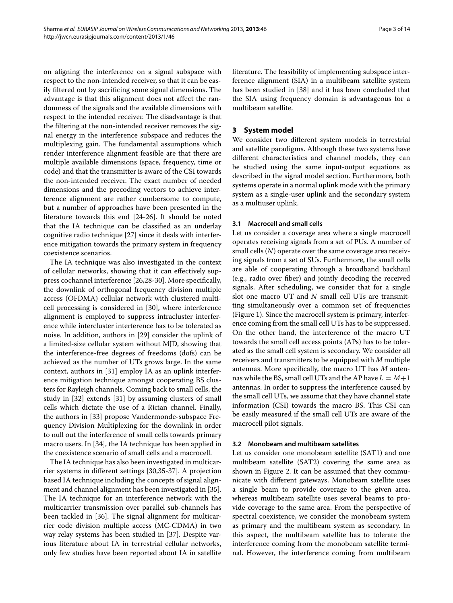on aligning the interference on a signal subspace with respect to the non-intended receiver, so that it can be easily filtered out by sacrificing some signal dimensions. The advantage is that this alignment does not affect the randomness of the signals and the available dimensions with respect to the intended receiver. The disadvantage is that the filtering at the non-intended receiver removes the signal energy in the interference subspace and reduces the multiplexing gain. The fundamental assumptions which render interference alignment feasible are that there are multiple available dimensions (space, frequency, time or code) and that the transmitter is aware of the CSI towards the non-intended receiver. The exact number of needed dimensions and the precoding vectors to achieve interference alignment are rather cumbersome to compute, but a number of approaches have been presented in the literature towards this end [24-26]. It should be noted that the IA technique can be classified as an underlay cognitive radio technique [27] since it deals with interference mitigation towards the primary system in frequency coexistence scenarios.

The IA technique was also investigated in the context of cellular networks, showing that it can effectively suppress cochannel interference [26,28-30]. More specifically, the downlink of orthogonal frequency division multiple access (OFDMA) cellular network with clustered multicell processing is considered in [30], where interference alignment is employed to suppress intracluster interference while intercluster interference has to be tolerated as noise. In addition, authors in [29] consider the uplink of a limited-size cellular system without MJD, showing that the interference-free degrees of freedoms (dofs) can be achieved as the number of UTs grows large. In the same context, authors in [31] employ IA as an uplink interference mitigation technique amongst cooperating BS clusters for Rayleigh channels. Coming back to small cells, the study in [32] extends [31] by assuming clusters of small cells which dictate the use of a Rician channel. Finally, the authors in [33] propose Vandermonde-subspace Frequency Division Multiplexing for the downlink in order to null out the interference of small cells towards primary macro users. In [34], the IA technique has been applied in the coexistence scenario of small cells and a macrocell.

The IA technique has also been investigated in multicarrier systems in different settings [30,35-37]. A projection based IA technique including the concepts of signal alignment and channel alignment has been investigated in [35]. The IA technique for an interference network with the multicarrier transmission over parallel sub-channels has been tackled in [36]. The signal alignment for multicarrier code division multiple access (MC-CDMA) in two way relay systems has been studied in [37]. Despite various literature about IA in terrestrial cellular networks, only few studies have been reported about IA in satellite literature. The feasibility of implementing subspace interference alignment (SIA) in a multibeam satellite system has been studied in [38] and it has been concluded that the SIA using frequency domain is advantageous for a multibeam satellite.

# **3 System model**

We consider two different system models in terrestrial and satellite paradigms. Although these two systems have different characteristics and channel models, they can be studied using the same input-output equations as described in the signal model section. Furthermore, both systems operate in a normal uplink mode with the primary system as a single-user uplink and the secondary system as a multiuser uplink.

# **3.1 Macrocell and small cells**

Let us consider a coverage area where a single macrocell operates receiving signals from a set of PUs. A number of small cells  $(N)$  operate over the same coverage area receiving signals from a set of SUs. Furthermore, the small cells are able of cooperating through a broadband backhaul (e.g., radio over fiber) and jointly decoding the received signals. After scheduling, we consider that for a single slot one macro UT and  $N$  small cell UTs are transmitting simultaneously over a common set of frequencies (Figure 1). Since the macrocell system is primary, interference coming from the small cell UTs has to be suppressed. On the other hand, the interference of the macro UT towards the small cell access points (APs) has to be tolerated as the small cell system is secondary. We consider all receivers and transmitters to be equipped with M multiple antennas. More specifically, the macro UT has M antennas while the BS, small cell UTs and the AP have  $L = M+1$ antennas. In order to suppress the interference caused by the small cell UTs, we assume that they have channel state information (CSI) towards the macro BS. This CSI can be easily measured if the small cell UTs are aware of the macrocell pilot signals.

# **3.2 Monobeam and multibeam satellites**

Let us consider one monobeam satellite (SAT1) and one multibeam satellite (SAT2) covering the same area as shown in Figure 2. It can be assumed that they communicate with different gateways. Monobeam satellite uses a single beam to provide coverage to the given area, whereas multibeam satellite uses several beams to provide coverage to the same area. From the perspective of spectral coexistence, we consider the monobeam system as primary and the multibeam system as secondary. In this aspect, the multibeam satellite has to tolerate the interference coming from the monobeam satellite terminal. However, the interference coming from multibeam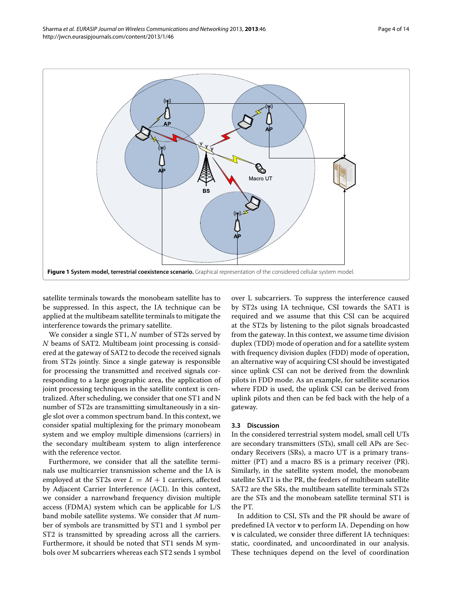

satellite terminals towards the monobeam satellite has to be suppressed. In this aspect, the IA technique can be applied at the multibeam satellite terminals to mitigate the interference towards the primary satellite.

We consider a single ST1, N number of ST2s served by N beams of SAT2. Multibeam joint processing is considered at the gateway of SAT2 to decode the received signals from ST2s jointly. Since a single gateway is responsible for processing the transmitted and received signals corresponding to a large geographic area, the application of joint processing techniques in the satellite context is centralized. After scheduling, we consider that one ST1 and N number of ST2s are transmitting simultaneously in a single slot over a common spectrum band. In this context, we consider spatial multiplexing for the primary monobeam system and we employ multiple dimensions (carriers) in the secondary multibeam system to align interference with the reference vector.

Furthermore, we consider that all the satellite terminals use multicarrier transmission scheme and the IA is employed at the ST2s over  $L = M + 1$  carriers, affected by Adjacent Carrier Interference (ACI). In this context, we consider a narrowband frequency division multiple access (FDMA) system which can be applicable for L/S band mobile satellite systems. We consider that  $M$  number of symbols are transmitted by ST1 and 1 symbol per ST2 is transmitted by spreading across all the carriers. Furthermore, it should be noted that ST1 sends M symbols over M subcarriers whereas each ST2 sends 1 symbol over L subcarriers. To suppress the interference caused by ST2s using IA technique, CSI towards the SAT1 is required and we assume that this CSI can be acquired at the ST2s by listening to the pilot signals broadcasted from the gateway. In this context, we assume time division duplex (TDD) mode of operation and for a satellite system with frequency division duplex (FDD) mode of operation, an alternative way of acquiring CSI should be investigated since uplink CSI can not be derived from the downlink pilots in FDD mode. As an example, for satellite scenarios where FDD is used, the uplink CSI can be derived from uplink pilots and then can be fed back with the help of a gateway.

#### **3.3 Discussion**

In the considered terrestrial system model, small cell UTs are secondary transmitters (STs), small cell APs are Secondary Receivers (SRs), a macro UT is a primary transmitter (PT) and a macro BS is a primary receiver (PR). Similarly, in the satellite system model, the monobeam satellite SAT1 is the PR, the feeders of multibeam satellite SAT2 are the SRs, the multibeam satellite terminals ST2s are the STs and the monobeam satellite terminal ST1 is the PT.

In addition to CSI, STs and the PR should be aware of predefined IA vector **v** to perform IA. Depending on how **v** is calculated, we consider three different IA techniques: static, coordinated, and uncoordinated in our analysis. These techniques depend on the level of coordination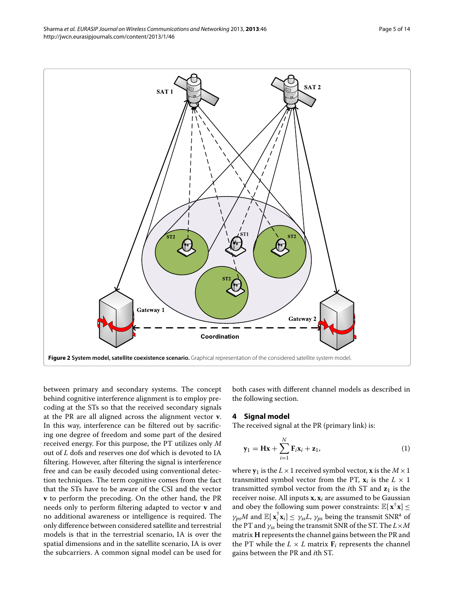

between primary and secondary systems. The concept behind cognitive interference alignment is to employ precoding at the STs so that the received secondary signals at the PR are all aligned across the alignment vector **v**. In this way, interference can be filtered out by sacrificing one degree of freedom and some part of the desired received energy. For this purpose, the PT utilizes only M out of L dofs and reserves one dof which is devoted to IA filtering. However, after filtering the signal is interference free and can be easily decoded using conventional detection techniques. The term cognitive comes from the fact that the STs have to be aware of the CSI and the vector **v** to perform the precoding. On the other hand, the PR needs only to perform filtering adapted to vector **v** and no additional awareness or intelligence is required. The only difference between considered satellite and terrestrial models is that in the terrestrial scenario, IA is over the spatial dimensions and in the satellite scenario, IA is over the subcarriers. A common signal model can be used for

both cases with different channel models as described in the following section.

#### **4 Signal model**

The received signal at the PR (primary link) is:

$$
\mathbf{y}_1 = \mathbf{H}\mathbf{x} + \sum_{i=1}^N \mathbf{F}_i \mathbf{x}_i + \mathbf{z}_1, \tag{1}
$$

where  $y_1$  is the  $L \times 1$  received symbol vector, **x** is the  $M \times 1$ transmitted symbol vector from the PT,  $\mathbf{x}_i$  is the  $L \times 1$ transmitted symbol vector from the *i*th ST and  $z_1$  is the receiver noise. All inputs  $\mathbf{x}, \mathbf{x}_i$  are assumed to be Gaussian and obey the following sum power constraints:  $\mathbb{E}[\mathbf{x}^{\dagger} \mathbf{x}] \leq$  $\gamma_{ps}M$  and  $\mathbb{E}[\mathbf{x}_i^{\dagger} \mathbf{x}_i] \leq \gamma_{ss}L$ ,  $\gamma_{ps}$  being the transmit SNR<sup>a</sup> of the PT and  $\gamma_{ss}$  being the transmit SNR of the ST. The  $L \times M$ matrix **H** represents the channel gains between the PR and the PT while the  $L \times L$  matrix  $\mathbf{F}_i$  represents the channel gains between the PR and ith ST.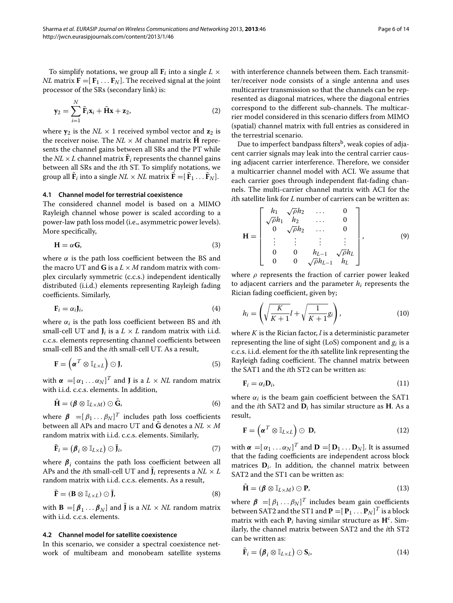To simplify notations, we group all  $\mathbf{F}_i$  into a single  $L \times$ *NL* matrix  $\mathbf{F} = [\mathbf{F}_1 \dots \mathbf{F}_N]$ . The received signal at the joint processor of the SRs (secondary link) is:

$$
\mathbf{y}_2 = \sum_{i=1}^N \tilde{\mathbf{F}}_i \mathbf{x}_i + \tilde{\mathbf{H}} \mathbf{x} + \mathbf{z}_2, \tag{2}
$$

where  $y_2$  is the  $NL \times 1$  received symbol vector and  $z_2$  is the receiver noise. The  $NL \times M$  channel matrix  $\tilde{H}$  represents the channel gains between all SRs and the PT while the  $NL \times L$  channel matrix  $\tilde{\mathbf{F}}_i$  represents the channel gains between all SRs and the ith ST. To simplify notations, we group all  $\tilde{\mathbf{F}}_i$  into a single  $NL \times NL$  matrix  $\tilde{\mathbf{F}} = [\tilde{\mathbf{F}}_1 \dots \tilde{\mathbf{F}}_N]$ .

#### **4.1 Channel model for terrestrial coexistence**

The considered channel model is based on a MIMO Rayleigh channel whose power is scaled according to a power-law path loss model (i.e., asymmetric power levels). More specifically,

$$
\mathbf{H} = \alpha \mathbf{G},\tag{3}
$$

where  $\alpha$  is the path loss coefficient between the BS and the macro UT and **G** is a  $L \times M$  random matrix with complex circularly symmetric (c.c.s.) independent identically distributed (i.i.d.) elements representing Rayleigh fading coefficients. Similarly,

$$
\mathbf{F}_i = \alpha_i \mathbf{J}_i,\tag{4}
$$

where  $\alpha_i$  is the path loss coefficient between BS and *i*th small-cell UT and  $J_i$  is a  $L \times L$  random matrix with i.i.d. c.c.s. elements representing channel coefficients between small-cell BS and the ith small-cell UT. As a result,

$$
\mathbf{F} = \left(\boldsymbol{\alpha}^T \otimes \mathbb{I}_{L \times L}\right) \odot \mathbf{J},\tag{5}
$$

with  $\boldsymbol{\alpha} = [\alpha_1 \dots \alpha_N]^T$  and **J** is a  $L \times NL$  random matrix with i.i.d. c.c.s. elements. In addition,

$$
\tilde{\mathbf{H}} = (\boldsymbol{\beta} \otimes \mathbb{I}_{L \times M}) \odot \tilde{\mathbf{G}}, \tag{6}
$$

where  $\boldsymbol{\beta} = [\beta_1 \dots \beta_N]^T$  includes path loss coefficients between all APs and macro UT and  $\tilde{G}$  denotes a  $NL \times M$ random matrix with i.i.d. c.c.s. elements. Similarly,

$$
\tilde{\mathbf{F}}_i = (\boldsymbol{\beta}_i \otimes \mathbb{I}_{L \times L}) \odot \tilde{\mathbf{j}}_i, \tag{7}
$$

where  $\beta_i$  contains the path loss coefficient between all APs and the *i*th small-cell UT and  $\tilde{J}_i$  represents a  $NL \times L$ random matrix with i.i.d. c.c.s. elements. As a result,

$$
\tilde{\mathbf{F}} = (\mathbf{B} \otimes \mathbb{I}_{L \times L}) \odot \tilde{\mathbf{J}},\tag{8}
$$

with  $\mathbf{B} = [\boldsymbol{\beta}_1 \dots \boldsymbol{\beta}_N]$  and  $\tilde{\mathbf{J}}$  is a  $NL \times NL$  random matrix with i.i.d. c.c.s. elements.

# **4.2 Channel model for satellite coexistence**

In this scenario, we consider a spectral coexistence network of multibeam and monobeam satellite systems with interference channels between them. Each transmitter/receiver node consists of a single antenna and uses multicarrier transmission so that the channels can be represented as diagonal matrices, where the diagonal entries correspond to the different sub-channels. The multicarrier model considered in this scenario differs from MIMO (spatial) channel matrix with full entries as considered in the terrestrial scenario.

Due to imperfect bandpass filters<sup>b</sup>, weak copies of adjacent carrier signals may leak into the central carrier causing adjacent carrier interference. Therefore, we consider a multicarrier channel model with ACI. We assume that each carrier goes through independent flat-fading channels. The multi-carrier channel matrix with ACI for the *i*th satellite link for  $L$  number of carriers can be written as:

$$
\mathbf{H} = \begin{bmatrix} h_1 & \sqrt{\rho}h_2 & \cdots & 0 \\ \sqrt{\rho}h_1 & h_2 & \cdots & 0 \\ 0 & \sqrt{\rho}h_2 & \cdots & 0 \\ \vdots & \vdots & \vdots & \vdots \\ 0 & 0 & h_{L-1} & \sqrt{\rho}h_L \\ 0 & 0 & \sqrt{\rho}h_{L-1} & h_L \end{bmatrix},
$$
(9)

where  $\rho$  represents the fraction of carrier power leaked to adjacent carriers and the parameter  $h_i$  represents the Rician fading coefficient, given by;

$$
h_i = \left(\sqrt{\frac{K}{K+1}}l + \sqrt{\frac{1}{K+1}}g_i\right),\tag{10}
$$

where  $K$  is the Rician factor,  $l$  is a deterministic parameter representing the line of sight (LoS) component and  $g_i$  is a c.c.s. i.i.d. element for the ith satellite link representing the Rayleigh fading coefficient. The channel matrix between the SAT1 and the ith ST2 can be written as:

$$
\mathbf{F}_i = \alpha_i \mathbf{D}_i, \tag{11}
$$

where  $\alpha_i$  is the beam gain coefficient between the SAT1 and the *i*th SAT2 and  $D_i$  has similar structure as **H**. As a result,

$$
\mathbf{F} = \left( \boldsymbol{\alpha}^T \otimes \mathbb{I}_{L \times L} \right) \odot \mathbf{D}, \tag{12}
$$

with  $\boldsymbol{\alpha} = [\alpha_1 \dots \alpha_N]^T$  and  $\mathbf{D} = [\mathbf{D}_1 \dots \mathbf{D}_N]$ . It is assumed that the fading coefficients are independent across block matrices  $D_i$ . In addition, the channel matrix between SAT2 and the ST1 can be written as:

$$
\tilde{\mathbf{H}} = (\boldsymbol{\beta} \otimes \mathbb{I}_{L \times M}) \odot \mathbf{P},\tag{13}
$$

where  $\boldsymbol{\beta} = [\beta_1 \dots \beta_N]^T$  includes beam gain coefficients between SAT2 and the ST1 and  $\mathbf{P} = [\mathbf{P}_1 \dots \mathbf{P}_N]^T$  is a block matrix with each  $P_i$  having similar structure as  $H<sup>c</sup>$ . Similarly, the channel matrix between SAT2 and the ith ST2 can be written as:

$$
\tilde{\mathbf{F}}_i = (\boldsymbol{\beta}_i \otimes \mathbb{I}_{L \times L}) \odot \mathbf{S}_i, \tag{14}
$$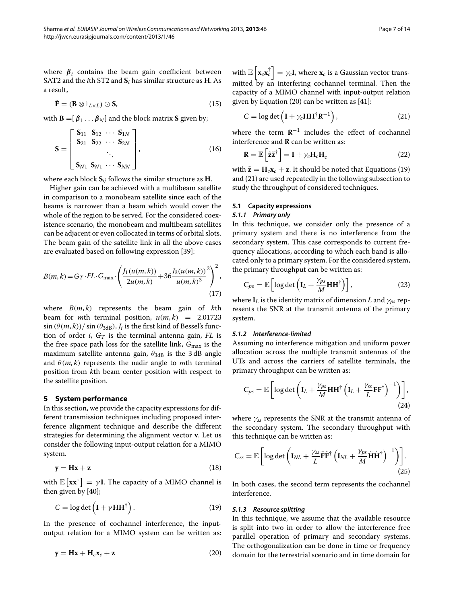where  $\beta_i$  contains the beam gain coefficient between SAT2 and the *i*th ST2 and  $S_i$  has similar structure as **H**. As a result,

$$
\tilde{\mathbf{F}} = (\mathbf{B} \otimes \mathbb{I}_{L \times L}) \odot \mathbf{S},\tag{15}
$$

with **B** =  $[\beta_1 \dots \beta_N]$  and the block matrix **S** given by;

$$
\mathbf{S} = \begin{bmatrix} \mathbf{S}_{11} & \mathbf{S}_{12} & \cdots & \mathbf{S}_{1N} \\ \mathbf{S}_{21} & \mathbf{S}_{22} & \cdots & \mathbf{S}_{2N} \\ & & \ddots & \\ \mathbf{S}_{N1} & \mathbf{S}_{N1} & \cdots & \mathbf{S}_{NN} \end{bmatrix},
$$
(16)

where each block  $S_{ij}$  follows the similar structure as **H**.

Higher gain can be achieved with a multibeam satellite in comparison to a monobeam satellite since each of the beams is narrower than a beam which would cover the whole of the region to be served. For the considered coexistence scenario, the monobeam and multibeam satellites can be adjacent or even collocated in terms of orbital slots. The beam gain of the satellite link in all the above cases are evaluated based on following expression [39]:

$$
B(m,k) = G_T \cdot FL \cdot G_{\text{max}} \cdot \left( \frac{J_1(u(m,k))}{2u(m,k)} + 36 \frac{J_3(u(m,k))}{u(m,k)^3} \right)^2,
$$
\n(17)

where  $B(m, k)$  represents the beam gain of kth beam for *m*th terminal position,  $u(m, k) = 2.01723$  $\sin (\theta (m, k)) / \sin (\theta_{3dB})$ ,  $J_i$  is the first kind of Bessel's function of order i,  $G_T$  is the terminal antenna gain, FL is the free space path loss for the satellite link,  $G_{\text{max}}$  is the maximum satellite antenna gain,  $\theta_{3dB}$  is the 3 dB angle and  $\theta$ (*m*, *k*) represents the nadir angle to *m*th terminal position from kth beam center position with respect to the satellite position.

#### **5 System performance**

In this section, we provide the capacity expressions for different transmission techniques including proposed interference alignment technique and describe the different strategies for determining the alignment vector **v**. Let us consider the following input-output relation for a MIMO system.

$$
y = Hx + z \tag{18}
$$

with  $\mathbb{E}\left[\mathbf{x} \mathbf{x}^{\dagger}\right] = \gamma \mathbf{I}$ . The capacity of a MIMO channel is then given by [40];

$$
C = \log \det \left( \mathbf{I} + \gamma \mathbf{H} \mathbf{H}^{\dagger} \right). \tag{19}
$$

In the presence of cochannel interference, the inputoutput relation for a MIMO system can be written as:

$$
\mathbf{y} = \mathbf{H}\mathbf{x} + \mathbf{H}_c \mathbf{x}_c + \mathbf{z}
$$
 (20)

with  $\mathbb{E}\left[\mathbf{x}_c\mathbf{x}_c^{\dagger}\right] = \gamma_c\mathbf{I}$ , where  $\mathbf{x}_c$  is a Gaussian vector transmitted by an interfering cochannel terminal. Then the capacity of a MIMO channel with input-output relation given by Equation (20) can be written as [41]:

$$
C = \log \det \left( \mathbf{I} + \gamma_c \mathbf{H} \mathbf{H}^\dagger \mathbf{R}^{-1} \right),\tag{21}
$$

where the term  $\mathbb{R}^{-1}$  includes the effect of cochannel interference and **R** can be written as:

$$
\mathbf{R} = \mathbb{E}\left[\tilde{\mathbf{z}}\tilde{\mathbf{z}}^{\dagger}\right] = \mathbf{I} + \gamma_c \mathbf{H}_c \mathbf{H}_c^{\dagger}
$$
 (22)

with  $\tilde{\mathbf{z}} = \mathbf{H}_c \mathbf{x}_c + \mathbf{z}$ . It should be noted that Equations (19) and (21) are used repeatedly in the following subsection to study the throughput of considered techniques.

# **5.1 Capacity expressions**

#### *5.1.1 Primary only*

In this technique, we consider only the presence of a primary system and there is no interference from the secondary system. This case corresponds to current frequency allocations, according to which each band is allocated only to a primary system. For the considered system, the primary throughput can be written as:

$$
C_{po} = \mathbb{E}\left[\log \det\left(\mathbf{I}_L + \frac{\gamma_{ps}}{M} \mathbf{H} \mathbf{H}^\dagger\right)\right],\tag{23}
$$

where  $I_L$  is the identity matrix of dimension L and  $\gamma_{ps}$  represents the SNR at the transmit antenna of the primary system.

#### *5.1.2 Interference-limited*

Assuming no interference mitigation and uniform power allocation across the multiple transmit antennas of the UTs and across the carriers of satellite terminals, the primary throughput can be written as:

$$
C_{ps} = \mathbb{E}\left[\log \det\left(\mathbf{I}_L + \frac{\gamma_{ps}}{M} \mathbf{H} \mathbf{H}^\dagger \left(\mathbf{I}_L + \frac{\gamma_{ss}}{L} \mathbf{F} \mathbf{F}^\dagger\right)^{-1}\right)\right],\tag{24}
$$

where  $\gamma_{ss}$  represents the SNR at the transmit antenna of the secondary system. The secondary throughput with this technique can be written as:

$$
C_{ss} = \mathbb{E}\left[\log \det \left(\mathbf{I}_{NL} + \frac{\gamma_{ss}}{L}\tilde{\mathbf{F}}\tilde{\mathbf{F}}^{\dagger}\left(\mathbf{I}_{NL} + \frac{\gamma_{ps}}{M}\tilde{\mathbf{H}}\tilde{\mathbf{H}}^{\dagger}\right)^{-1}\right)\right].
$$
\n(25)

In both cases, the second term represents the cochannel interference.

#### *5.1.3 Resource splitting*

In this technique, we assume that the available resource is split into two in order to allow the interference free parallel operation of primary and secondary systems. The orthogonalization can be done in time or frequency domain for the terrestrial scenario and in time domain for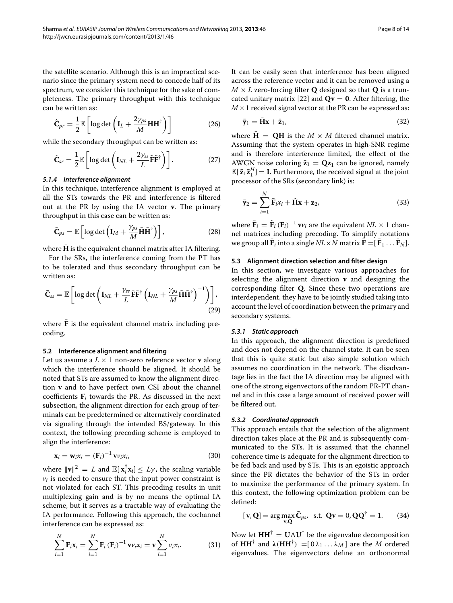the satellite scenario. Although this is an impractical scenario since the primary system need to concede half of its spectrum, we consider this technique for the sake of completeness. The primary throughput with this technique can be written as:

$$
\hat{\mathbf{C}}_{pr} = \frac{1}{2} \mathbb{E} \left[ \log \det \left( \mathbf{I}_L + \frac{2\gamma_{ps}}{M} \mathbf{H} \mathbf{H}^\dagger \right) \right]
$$
 (26)

while the secondary throughput can be written as:

$$
\hat{\mathbf{C}}_{sr} = \frac{1}{2} \mathbb{E} \left[ \log \det \left( \mathbf{I}_{NL} + \frac{2\gamma_{ss}}{L} \tilde{\mathbf{F}} \tilde{\mathbf{F}}^{\dagger} \right) \right]. \tag{27}
$$

#### *5.1.4 Interference alignment*

In this technique, interference alignment is employed at all the STs towards the PR and interference is filtered out at the PR by using the IA vector **v**. The primary throughput in this case can be written as:

$$
\bar{\mathbf{C}}_{ps} = \mathbb{E}\left[\log \det\left(\mathbf{I}_M + \frac{\gamma_{ps}}{M} \bar{\mathbf{H}} \bar{\mathbf{H}}^\dagger\right)\right],\tag{28}
$$

where **H** is the equivalent channel matrix after IA filtering.

For the SRs, the interference coming from the PT has to be tolerated and thus secondary throughput can be written as:

$$
\bar{\mathbf{C}}_{ss} = \mathbb{E}\left[\log \det \left(\mathbf{I}_{NL} + \frac{\gamma_{ss}}{L}\bar{\mathbf{F}}\bar{\mathbf{F}}^{\dagger}\left(\mathbf{I}_{NL} + \frac{\gamma_{ps}}{M}\tilde{\mathbf{H}}\tilde{\mathbf{H}}^{\dagger}\right)^{-1}\right)\right],\tag{29}
$$

where  $\bar{F}$  is the equivalent channel matrix including precoding.

#### **5.2 Interference alignment and filtering**

Let us assume a  $L \times 1$  non-zero reference vector **v** along which the interference should be aligned. It should be noted that STs are assumed to know the alignment direction **v** and to have perfect own CSI about the channel coefficients  $F_i$  towards the PR. As discussed in the next subsection, the alignment direction for each group of terminals can be predetermined or alternatively coordinated via signaling through the intended BS/gateway. In this context, the following precoding scheme is employed to align the interference:

$$
\mathbf{x}_{i} = \mathbf{w}_{i} x_{i} = \left(\mathbf{F}_{i}\right)^{-1} \mathbf{v}_{i} x_{i}, \tag{30}
$$

where  $\|\mathbf{v}\|^2 = L$  and  $\mathbb{E}[\mathbf{x}_i^{\dagger} \mathbf{x}_i] \le L\gamma$ , the scaling variable  $v_i$  is needed to ensure that the input power constraint is not violated for each ST. This precoding results in unit multiplexing gain and is by no means the optimal IA scheme, but it serves as a tractable way of evaluating the IA performance. Following this approach, the cochannel interference can be expressed as:

$$
\sum_{i=1}^{N} \mathbf{F}_{i} \mathbf{x}_{i} = \sum_{i=1}^{N} \mathbf{F}_{i} (\mathbf{F}_{i})^{-1} \mathbf{v} v_{i} x_{i} = \mathbf{v} \sum_{i=1}^{N} v_{i} x_{i}.
$$
 (31)

It can be easily seen that interference has been aligned across the reference vector and it can be removed using a  $M \times L$  zero-forcing filter **Q** designed so that **Q** is a truncated unitary matrix [22] and  $Qv = 0$ . After filtering, the  $M \times 1$  received signal vector at the PR can be expressed as:

$$
\bar{\mathbf{y}}_1 = \bar{\mathbf{H}} \mathbf{x} + \bar{\mathbf{z}}_1,\tag{32}
$$

where  $\bar{H} = QH$  is the  $M \times M$  filtered channel matrix. Assuming that the system operates in high-SNR regime and is therefore interference limited, the effect of the AWGN noise coloring  $\bar{z}_1 = Qz_1$  can be ignored, namely  $\mathbb{E}[ \bar{z}_1 \bar{z}_1^H ] =$  **I**. Furthermore, the received signal at the joint processor of the SRs (secondary link) is:

$$
\bar{\mathbf{y}}_2 = \sum_{i=1}^N \bar{\mathbf{F}}_i x_i + \tilde{\mathbf{H}} \mathbf{x} + \mathbf{z}_2, \tag{33}
$$

where  $\bar{\mathbf{F}}_i = \tilde{\mathbf{F}}_i (\mathbf{F}_i)^{-1} \mathbf{v} v_i$  are the equivalent  $NL \times 1$  channel matrices including precoding. To simplify notations we group all  $\mathbf{\bar{F}}_i$  into a single  $NL \times N$  matrix  $\mathbf{\bar{F}} = [\mathbf{\bar{F}}_1 \dots \mathbf{\bar{F}}_N].$ 

#### **5.3 Alignment direction selection and filter design**

In this section, we investigate various approaches for selecting the alignment direction **v** and designing the corresponding filter **Q**. Since these two operations are interdependent, they have to be jointly studied taking into account the level of coordination between the primary and secondary systems.

#### *5.3.1 Static approach*

In this approach, the alignment direction is predefined and does not depend on the channel state. It can be seen that this is quite static but also simple solution which assumes no coordination in the network. The disadvantage lies in the fact the IA direction may be aligned with one of the strong eigenvectors of the random PR-PT channel and in this case a large amount of received power will be filtered out.

#### *5.3.2 Coordinated approach*

This approach entails that the selection of the alignment direction takes place at the PR and is subsequently communicated to the STs. It is assumed that the channel coherence time is adequate for the alignment direction to be fed back and used by STs. This is an egoistic approach since the PR dictates the behavior of the STs in order to maximize the performance of the primary system. In this context, the following optimization problem can be defined:

$$
[\mathbf{v}, \mathbf{Q}] = \arg \max_{\mathbf{v}, \mathbf{Q}} \bar{\mathbf{C}}_{ps}, \text{ s.t. } \mathbf{Q}\mathbf{v} = 0, \mathbf{Q}\mathbf{Q}^{\dagger} = 1. \quad (34)
$$

Now let  $HH^{\dagger} = U\Lambda U^{\dagger}$  be the eigenvalue decomposition of **HH**<sup>†</sup> and  $\lambda$ (**HH**<sup>†</sup>) =[ $0\lambda_1 \ldots \lambda_M$ ] are the M ordered eigenvalues. The eigenvectors define an orthonormal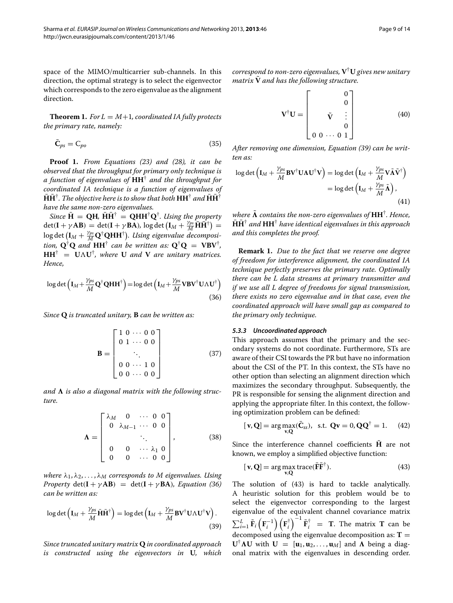space of the MIMO/multicarrier sub-channels. In this direction, the optimal strategy is to select the eigenvector which corresponds to the zero eigenvalue as the alignment direction.

**Theorem 1.** For  $L = M+1$ , coordinated IA fully protects the primary rate, namely:

$$
\bar{\mathbf{C}}_{ps} = \mathbf{C}_{po} \tag{35}
$$

Proof 1. From Equations (23) and (28), it can be observed that the throughput for primary only technique is a function of eigenvalues of **HH**† and the throughput for coordinated IA technique is a function of eigenvalues of  $\mathbf{H} \mathbf{H}^{\dagger}$ . The objective here is to show that both  $\mathbf{H} \mathbf{H}^{\dagger}$  and  $\mathbf{H} \mathbf{H}^{\dagger}$ have the same non-zero eigenvalues.

 $Since \overline{H} = QH, \overline{HH}^{\dagger} = QHH^{\dagger}Q^{\dagger}.$  Using the property  $det(\mathbf{I} + \gamma \mathbf{A}\mathbf{B}) = det(\mathbf{I} + \gamma \mathbf{B}\mathbf{A})$ ,  $log det(\mathbf{I}_M + \frac{\gamma_{ps}}{M}\mathbf{H}\mathbf{H}^{\dagger}) =$  $\log \det \left( \mathbf{I}_{M} + \frac{\gamma_{ps}}{M} \mathbf{Q}^{\dagger} \mathbf{Q} \mathbf{H} \mathbf{H}^{\dagger} \right)$ . Using eigenvalue decomposition,  $Q^{\dagger}Q$  and  $HH^{\dagger}$  can be written as:  $Q^{\dagger}Q = VBV^{\dagger}$ ,  $HH^{\dagger} = U \Lambda U^{\dagger}$ , where **U** and **V** are unitary matrices. Hence,

$$
\log \det \left( \mathbf{I}_M + \frac{\gamma_{ps}}{M} \mathbf{Q}^\dagger \mathbf{Q} \mathbf{H} \mathbf{H}^\dagger \right) = \log \det \left( \mathbf{I}_M + \frac{\gamma_{ps}}{M} \mathbf{V} \mathbf{B} \mathbf{V}^\dagger \mathbf{U} \Lambda \mathbf{U}^\dagger \right)
$$
\n(36)

Since **Q** is truncated unitary, **B** can be written as:

$$
\mathbf{B} = \begin{bmatrix} 1 & 0 & \cdots & 0 & 0 \\ 0 & 1 & \cdots & 0 & 0 \\ & & \ddots & & \\ 0 & 0 & \cdots & 1 & 0 \\ 0 & 0 & \cdots & 0 & 0 \end{bmatrix}
$$
(37)

and  $\Lambda$  is also a diagonal matrix with the following structure.

$$
\mathbf{\Lambda} = \begin{bmatrix} \lambda_M & 0 & \cdots & 0 & 0 \\ 0 & \lambda_{M-1} & \cdots & 0 & 0 \\ & & \ddots & & \\ 0 & 0 & \cdots & \lambda_1 & 0 \\ 0 & 0 & \cdots & 0 & 0 \end{bmatrix},
$$
 (38)

where  $\lambda_1, \lambda_2, \ldots, \lambda_M$  corresponds to M eigenvalues. Using Property  $det(I + \gamma AB) = det(I + \gamma BA)$ , *Equation* (36) can be written as:

$$
\log \det \left( \mathbf{I}_M + \frac{\gamma_{ps}}{M} \mathbf{\tilde{H}} \mathbf{\tilde{H}}^{\dagger} \right) = \log \det \left( \mathbf{I}_M + \frac{\gamma_{ps}}{M} \mathbf{B} \mathbf{V}^{\dagger} \mathbf{U} \Lambda \mathbf{U}^{\dagger} \mathbf{V} \right).
$$
\n(39)

Since truncated unitary matrix **Q** in coordinated approach is constructed using the eigenvectors in **U**, which correspond to non-zero eigenvalues, **V**†**U** gives new unitary matrix  $\tilde{V}$  and has the following structure.

$$
\mathbf{V}^{\dagger}\mathbf{U} = \begin{bmatrix} 0 \\ 0 \\ \tilde{\mathbf{V}} & \vdots \\ 0 & 0 & \cdots & 0 \end{bmatrix}
$$
 (40)

After removing one dimension, Equation (39) can be written as:

$$
\log \det \left( \mathbf{I}_M + \frac{\gamma_{ps}}{M} \mathbf{B} \mathbf{V}^\dagger \mathbf{U} \mathbf{\Lambda} \mathbf{U}^\dagger \mathbf{V} \right) = \log \det \left( \mathbf{I}_M + \frac{\gamma_{ps}}{M} \mathbf{V} \tilde{\mathbf{\Lambda}} \tilde{\mathbf{V}}^\dagger \right)
$$
  
= log det  $\left( \mathbf{I}_M + \frac{\gamma_{ps}}{M} \tilde{\mathbf{\Lambda}} \right),$  (41)

where  $\tilde{\Lambda}$  contains the non-zero eigenvalues of  $HH^{\dagger}$ . Hence,  $\bar{H}\bar{H}^{\dagger}$  and  $HH^{\dagger}$  have identical eigenvalues in this approach and this completes the proof.

**Remark 1.** Due to the fact that we reserve one degree of freedom for interference alignment, the coordinated IA technique perfectly preserves the primary rate. Optimally there can be L data streams at primary transmitter and if we use all L degree of freedoms for signal transmission, there exists no zero eigenvalue and in that case, even the coordinated approach will have small gap as compared to the primary only technique.

#### *5.3.3 Uncoordinated approach*

This approach assumes that the primary and the secondary systems do not coordinate. Furthermore, STs are aware of their CSI towards the PR but have no information about the CSI of the PT. In this context, the STs have no other option than selecting an alignment direction which maximizes the secondary throughput. Subsequently, the PR is responsible for sensing the alignment direction and applying the appropriate filter. In this context, the following optimization problem can be defined:

$$
[\mathbf{v}, \mathbf{Q}] = \arg \max_{\mathbf{v}, \mathbf{Q}} (\bar{\mathbf{C}}_{ss}), \text{ s.t. } \mathbf{Q}\mathbf{v} = 0, \mathbf{Q}\mathbf{Q}^{\dagger} = 1. \quad (42)
$$

Since the interference channel coefficients  $\tilde{H}$  are not known, we employ a simplified objective function:

$$
[v, Q] = \arg\max_{v, Q} \text{trace}(\overline{F}\overline{F}^{\dagger}).
$$
 (43)

The solution of (43) is hard to tackle analytically. A heuristic solution for this problem would be to select the eigenvector corresponding to the largest eigenvalue of the equivalent channel covariance matrix  $\sum_{i=1}^L \tilde{\mathbf{F}}_i \left(\mathbf{F}_i^{-1}\right) \left(\mathbf{F}_i^\dagger\right)^{-1} \tilde{\mathbf{F}}_i^\dagger$  = **T**. The matrix **T** can be decomposed using the eigenvalue decomposition as: **<sup>T</sup>** <sup>=</sup>  $\mathbf{U}^{\dagger} \mathbf{\Lambda} \mathbf{U}$  with  $\mathbf{U} = [\mathbf{u}_1, \mathbf{u}_2, \dots, \mathbf{u}_M]$  and  $\mathbf{\Lambda}$  being a diagonal matrix with the eigenvalues in descending order.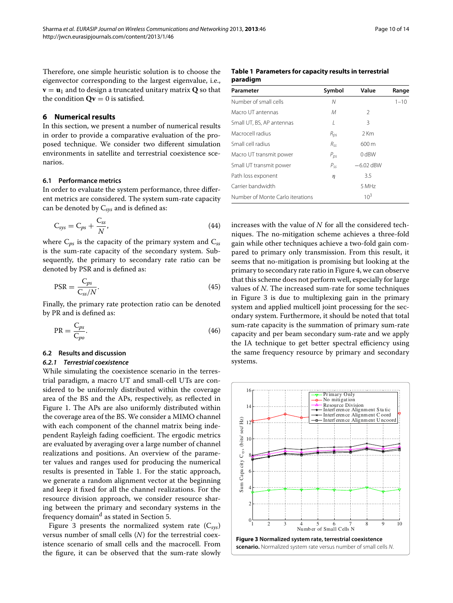Therefore, one simple heuristic solution is to choose the eigenvector corresponding to the largest eigenvalue, i.e.,  $\mathbf{v} = \mathbf{u}_1$  and to design a truncated unitary matrix **Q** so that the condition  $Qv = 0$  is satisfied.

#### **6 Numerical results**

In this section, we present a number of numerical results in order to provide a comparative evaluation of the proposed technique. We consider two different simulation environments in satellite and terrestrial coexistence scenarios.

#### **6.1 Performance metrics**

In order to evaluate the system performance, three different metrics are considered. The system sum-rate capacity can be denoted by  $C_{sys}$  and is defined as:

$$
C_{sys} = C_{ps} + \frac{C_{ss}}{N},\tag{44}
$$

where  $C_{ps}$  is the capacity of the primary system and  $C_{ss}$ is the sum-rate capacity of the secondary system. Subsequently, the primary to secondary rate ratio can be denoted by PSR and is defined as:

$$
PSR = \frac{C_{ps}}{C_{ss}/N}.\tag{45}
$$

Finally, the primary rate protection ratio can be denoted by PR and is defined as:

$$
PR = \frac{C_{ps}}{C_{po}}.\t(46)
$$

# **6.2 Results and discussion**

# *6.2.1 Terrestrial coexistence*

While simulating the coexistence scenario in the terrestrial paradigm, a macro UT and small-cell UTs are considered to be uniformly distributed within the coverage area of the BS and the APs, respectively, as reflected in Figure 1. The APs are also uniformly distributed within the coverage area of the BS. We consider a MIMO channel with each component of the channel matrix being independent Rayleigh fading coefficient. The ergodic metrics are evaluated by averaging over a large number of channel realizations and positions. An overview of the parameter values and ranges used for producing the numerical results is presented in Table 1. For the static approach, we generate a random alignment vector at the beginning and keep it fixed for all the channel realizations. For the resource division approach, we consider resource sharing between the primary and secondary systems in the frequency domain<sup>d</sup> as stated in Section 5.

Figure 3 presents the normalized system rate  $(C_{sys})$ versus number of small cells  $(N)$  for the terrestrial coexistence scenario of small cells and the macrocell. From the figure, it can be observed that the sum-rate slowly

### **Table 1 Parameters for capacity results in terrestrial paradigm**

| Parameter                        | Symbol   | Value           | Range    |
|----------------------------------|----------|-----------------|----------|
| Number of small cells            | N        |                 | $1 - 10$ |
| Macro UT antennas                | М        | $\mathcal{L}$   |          |
| Small UT, BS, AP antennas        | L        | 3               |          |
| Macrocell radius                 | $R_{DS}$ | 2 Km            |          |
| Small cell radius                | $R_{ss}$ | 600 m           |          |
| Macro UT transmit power          | $P_{DS}$ | $0$ dBW         |          |
| Small UT transmit power          | $P_{ss}$ | $-6.02$ dBW     |          |
| Path loss exponent               | $\eta$   | 3.5             |          |
| Carrier bandwidth                |          | 5 MHz           |          |
| Number of Monte Carlo iterations |          | 10 <sup>3</sup> |          |

increases with the value of  $N$  for all the considered techniques. The no-mitigation scheme achieves a three-fold gain while other techniques achieve a two-fold gain compared to primary only transmission. From this result, it seems that no-mitigation is promising but looking at the primary to secondary rate ratio in Figure 4, we can observe that this scheme does not perform well, especially for large values of N. The increased sum-rate for some techniques in Figure 3 is due to multiplexing gain in the primary system and applied multicell joint processing for the secondary system. Furthermore, it should be noted that total sum-rate capacity is the summation of primary sum-rate capacity and per beam secondary sum-rate and we apply the IA technique to get better spectral efficiency using the same frequency resource by primary and secondary systems.

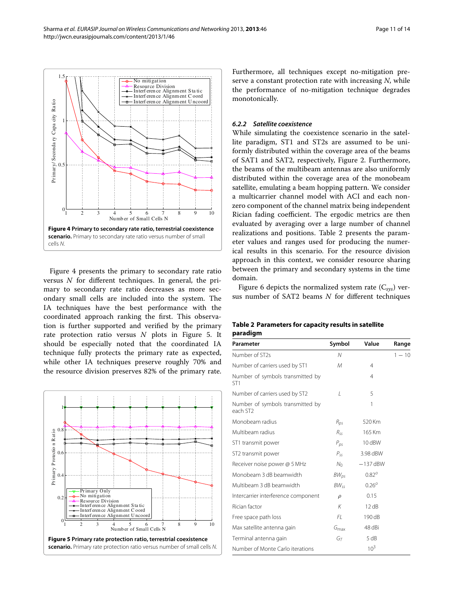

Figure 4 presents the primary to secondary rate ratio versus  $N$  for different techniques. In general, the primary to secondary rate ratio decreases as more secondary small cells are included into the system. The IA techniques have the best performance with the coordinated approach ranking the first. This observation is further supported and verified by the primary rate protection ratio versus  $N$  plots in Figure 5. It should be especially noted that the coordinated IA technique fully protects the primary rate as expected, while other IA techniques preserve roughly 70% and the resource division preserves 82% of the primary rate.



Furthermore, all techniques except no-mitigation preserve a constant protection rate with increasing  $N$ , while the performance of no-mitigation technique degrades monotonically.

# *6.2.2 Satellite coexistence*

While simulating the coexistence scenario in the satellite paradigm, ST1 and ST2s are assumed to be uniformly distributed within the coverage area of the beams of SAT1 and SAT2, respectively, Figure 2. Furthermore, the beams of the multibeam antennas are also uniformly distributed within the coverage area of the monobeam satellite, emulating a beam hopping pattern. We consider a multicarrier channel model with ACI and each nonzero component of the channel matrix being independent Rician fading coefficient. The ergodic metrics are then evaluated by averaging over a large number of channel realizations and positions. Table 2 presents the parameter values and ranges used for producing the numerical results in this scenario. For the resource division approach in this context, we consider resource sharing between the primary and secondary systems in the time domain.

Figure 6 depicts the normalized system rate  $(C_{sys})$  versus number of SAT2 beams  $N$  for different techniques

# **Table 2 Parameters for capacity results in satellite paradigm**

| Parameter                                                | Symbol            | Value          | Range    |
|----------------------------------------------------------|-------------------|----------------|----------|
| Number of ST2s                                           | N                 |                | $1 - 10$ |
| Number of carriers used by ST1                           | М                 | $\overline{4}$ |          |
| Number of symbols transmitted by<br>ST <sub>1</sub>      |                   | 4              |          |
| Number of carriers used by ST2                           | $\prime$          | 5              |          |
| Number of symbols transmitted by<br>each ST <sub>2</sub> |                   | 1              |          |
| Monobeam radius                                          | $R_{\mathit{DS}}$ | 520 Km         |          |
| Multibeam radius                                         | $R_{ss}$          | 165 Km         |          |
| ST1 transmit power                                       | $P_{DS}$          | 10 dBW         |          |
| ST2 transmit power                                       | $P_{ss}$          | 3.98 dBW       |          |
| Receiver noise power @ 5 MHz                             | N <sub>0</sub>    | $-137$ dBW     |          |
| Monobeam 3 dB beamwidth                                  | $BW_{DS}$         | $0.82^{\circ}$ |          |
| Multibeam 3 dB beamwidth                                 | $BW_{ss}$         | $0.26^{\circ}$ |          |
| Intercarrier interference component                      | $\rho$            | 0.15           |          |
| Rician factor                                            | К                 | 12 dB          |          |
| Free space path loss                                     | FI                | 190 dB         |          |
| Max satellite antenna gain                               | $G_{\rm max}$     | 48 dBi         |          |
| Terminal antenna gain                                    | Gт                | 5 dB           |          |
| Number of Monte Carlo iterations                         |                   | $10^{3}$       |          |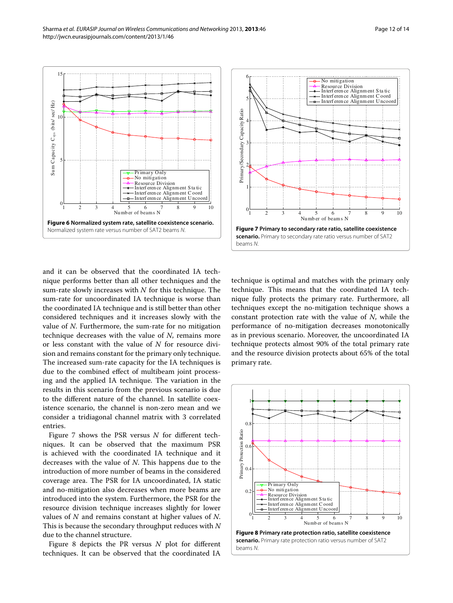



and it can be observed that the coordinated IA technique performs better than all other techniques and the sum-rate slowly increases with  $N$  for this technique. The sum-rate for uncoordinated IA technique is worse than the coordinated IA technique and is still better than other considered techniques and it increases slowly with the value of N. Furthermore, the sum-rate for no mitigation technique decreases with the value of  $N$ , remains more or less constant with the value of  $N$  for resource division and remains constant for the primary only technique. The increased sum-rate capacity for the IA techniques is due to the combined effect of multibeam joint processing and the applied IA technique. The variation in the results in this scenario from the previous scenario is due to the different nature of the channel. In satellite coexistence scenario, the channel is non-zero mean and we consider a tridiagonal channel matrix with 3 correlated entries.

Figure 7 shows the PSR versus  $N$  for different techniques. It can be observed that the maximum PSR is achieved with the coordinated IA technique and it decreases with the value of N. This happens due to the introduction of more number of beams in the considered coverage area. The PSR for IA uncoordinated, IA static and no-mitigation also decreases when more beams are introduced into the system. Furthermore, the PSR for the resource division technique increases slightly for lower values of N and remains constant at higher values of N. This is because the secondary throughput reduces with  $N$ due to the channel structure.

Figure 8 depicts the PR versus  $N$  plot for different techniques. It can be observed that the coordinated IA



technique is optimal and matches with the primary only technique. This means that the coordinated IA technique fully protects the primary rate. Furthermore, all techniques except the no-mitigation technique shows a constant protection rate with the value of  $N$ , while the performance of no-mitigation decreases monotonically as in previous scenario. Moreover, the uncoordinated IA technique protects almost 90% of the total primary rate and the resource division protects about 65% of the total primary rate.

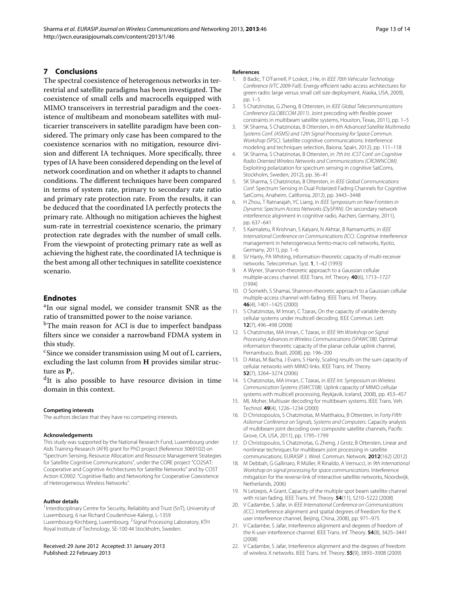# **7 Conclusions**

The spectral coexistence of heterogenous networks in terrestrial and satellite paradigms has been investigated. The coexistence of small cells and macrocells equipped with MIMO transceivers in terrestrial paradigm and the coexistence of multibeam and monobeam satellites with multicarrier transceivers in satellite paradigm have been considered. The primary only case has been compared to the coexistence scenarios with no mitigation, resource division and different IA techniques. More specifically, three types of IA have been considered depending on the level of network coordination and on whether it adapts to channel conditions. The different techniques have been compared in terms of system rate, primary to secondary rate ratio and primary rate protection rate. From the results, it can be deduced that the coordinated IA perfectly protects the primary rate. Although no mitigation achieves the highest sum-rate in terrestrial coexistence scenario, the primary protection rate degrades with the number of small cells. From the viewpoint of protecting primary rate as well as achieving the highest rate, the coordinated IA technique is the best among all other techniques in satellite coexistence scenario.

# **Endnotes**

<sup>a</sup>In our signal model, we consider transmit SNR as the ratio of transmitted power to the noise variance.

<sup>b</sup>The main reason for ACI is due to imperfect bandpass filters since we consider a narrowband FDMA system in this study.

 $\epsilon$ Since we consider transmission using M out of L carriers, excluding the last column from **H** provides similar struc-

ture as  $P_i$ .<br><sup>d</sup>It is also possible to have resource division in time domain in this context.

#### **Competing interests**

The authors declare that they have no competing interests.

#### **Acknowledgements**

This study was supported by the National Research Fund, Luxembourg under Aids Training-Research (AFR) grant for PhD project (Reference 3069102) on "Spectrum Sensing, Resource Allocation and Resource Management Strategies for Satellite Cognitive Communications", under the CORE project "CO2SAT: Cooperative and Cognitive Architectures for Satellite Networks" and by COST Action IC0902: "Cognitive Radio and Networking for Cooperative Coexistence of Heterogeneous Wireless Networks".

#### **Author details**

<sup>1</sup> Interdisciplinary Centre for Security, Reliability and Trust (SnT), University of Luxembourg, 6 rue Richard Coudenhove-Kalergi, L-1359 Luxembourg-Kirchberg, Luxembourg. <sup>2</sup> Signal Processing Laboratory, KTH Royal Institute of Technology, SE-100 44 Stockholm, Sweden.

Received: 29 June 2012 Accepted: 31 January 2013 Published: 22 February 2013

#### **References**

- 1. B Badic, T O'Farrrell, P Loskot, J He, in IEEE 70th Vehicular Technology Conference (VTC 2009-Fall). Energy efficient radio access architectures for green radio: large versus small cell size deployment, Alaska, USA, 2009), pp. 1–5
- 2. S Chatzinotas, G Zheng, B Ottersten, in IEEE Global Telecommunications Conference (GLOBECOM 2011). Joint precoding with flexible power constraints in multibeam satellite systems, Houston, Texas, 2011), pp. 1–5
- 3. SK Sharma, S Chatzinotas, B Ottersten, in 6th Advanced Satellite Multimedia Systems Conf. (ASMS) and 12th Signal Processing for Space Commun. Workshop (SPSC). Satellite cognitive communications: Interference modeling and techniques selection, Baiona, Spain, 2012), pp. 111–118
- 4. SK Sharma, S Chatzinotas, B Ottersten, in 7th Int. ICST Conf. on Cognitive Radio Oriented Wireless Networks and Communications (CROWNCOM). Exploiting polarization for spectrum sensing in cognitive SatComs, Stockholm, Sweden, 2012), pp. 36–41
- 5. SK Sharma, S Chatzinotas, B Ottersten, in IEEE Global Communications Conf. Spectrum Sensing in Dual Polarized Fading Channels for Cognitive SatComs, Anaheim, California, 2012), pp. 3443–3448
- 6. H Zhou, T Ratnarajah, YC Liang, in IEEE Symposium on New Frontiers in Dynamic Spectrum Access Networks (DySPAN). On secondary network interference alignment in cognitive radio, Aachen, Germany, 2011), pp. 637–641
- 7. S Kaimaletu, R Krishnan, S Kalyani, N Akhtar, B Ramamurthi, in IEEE International Conference on Communications (ICC). Cognitive interference management in heterogeneous femto-macro cell networks, Kyoto, Germany, 2011), pp. 1–6
- 8. SV Hanly, PA Whiting, Information-theoretic capacity of multi-receiver networks. Telecommun. Syst. **1**, 1–42 (1993)
- 9. A Wyner, Shannon-theoretic approach to a Gaussian cellular multiple-access channel. IEEE Trans. Inf. Theory. **40**(6), 1713–1727 (1994)
- 10. O Somekh, S Shamai, Shannon-theoretic approach to a Gaussian cellular multiple-access channel with fading. IEEE Trans. Inf. Theory. **46**(4), 1401–1425 (2000)
- 11. S Chatzinotas, M Imran, C Tzaras, On the capacity of variable density cellular systems under multicell decoding. IEEE Commun. Lett. **12**(7), 496–498 (2008)
- 12. S Chatzinotas, MA Imran, C Tzaras, in IEEE 9th Workshop on Signal Processing Advances in Wireless Communications (SPAWC'08). Optimal information theoretic capacity of the planar cellular uplink channel, Pernambuco, Brazil, 2008), pp. 196–200
- 13. D Aktas, M Bacha, J Evans, S Hanly, Scaling results on the sum capacity of cellular networks with MIMO links. IEEE Trans. Inf. Theory. **52**(7), 3264–3274 (2006)
- 14. S Chatzinotas, MA Imran, C Tzaras, in IEEE Int. Symposium on Wireless Communication Systems (ISWCS'08). Uplink capacity of MIMO cellular systems with multicell processing, Reykjavik, Iceland, 2008), pp. 453–457
- 15. ML Moher, Multiuser decoding for multibeam systems. IEEE Trans. Veh. Technol. **49**(4), 1226–1234 (2000)
- 16. D Christopoulos, S Chatzinotas, M Matthaiou, B Ottersten, in Forty Fifth Asilomar Conference on Signals, Systems and Computers. Capacity analysis of multibeam joint decoding over composite satellite channels, Pacific Grove, CA, USA, 2011), pp. 1795–1799
- 17. D Christopoulos, S Chatzinotas, G Zheng, J Grotz, B Ottersten, Linear and nonlinear techniques for multibeam joint processing in satellite communications. EURASIP J. Wirel. Commun. Network. **2012**(162) (2012)
- 18. M Debbah, G Gallinaro, R Müller, R Rinaldo, A Vernucci, in 9th International Workshop on signal processing for space communications. Interference mitigation for the reverse-link of interactive satellite networks, Noordwijk, Netherlands, 2006)
- 19. N Letzepis, A Grant, Capacity of the multiple spot beam satellite channel with rician fading. IEEE Trans. Inf. Theory. **54**(11), 5210–5222 (2008)
- 20. V Cadambe, S Jafar, in IEEE International Conference on Communications (ICC). Interference alignment and spatial degrees of freedom for the K user interference channel, Beijing, China, 2008), pp. 971–975
- 21. V Cadambe, S Jafar, Interference alignment and degrees of freedom of the K-user interference channel. IEEE Trans. Inf. Theory. **54**(8), 3425–3441 (2008)
- 22. V Cadambe, S Jafar, Interference alignment and the degrees of freedom of wireless X networks. IEEE Trans. Inf. Theory. **55**(9), 3893–3908 (2009)